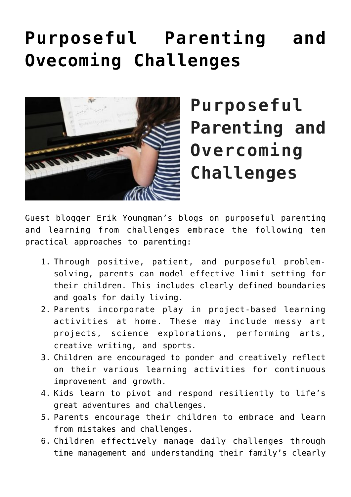## **[Purposeful Parenting and](https://genparenting.com/purposeful-parenting-and-ovecoming-challenges/) [Ovecoming Challenges](https://genparenting.com/purposeful-parenting-and-ovecoming-challenges/)**



**Purposeful Parenting and Overcoming Challenges**

Guest blogger Erik Youngman's blogs on purposeful parenting and learning from challenges embrace the following ten practical approaches to parenting:

- 1. Through positive, patient, and purposeful problemsolving, parents can model effective limit setting for their children. This includes clearly defined boundaries and goals for daily living.
- 2. Parents incorporate play in project-based learning activities at home. These may include messy art projects, science explorations, performing arts, creative writing, and sports.
- 3. Children are encouraged to ponder and creatively reflect on their various learning activities for continuous improvement and growth.
- 4. Kids learn to pivot and respond resiliently to life's great adventures and challenges.
- 5. Parents encourage their children to embrace and learn from mistakes and challenges.
- 6. Children effectively manage daily challenges through time management and understanding their family's clearly